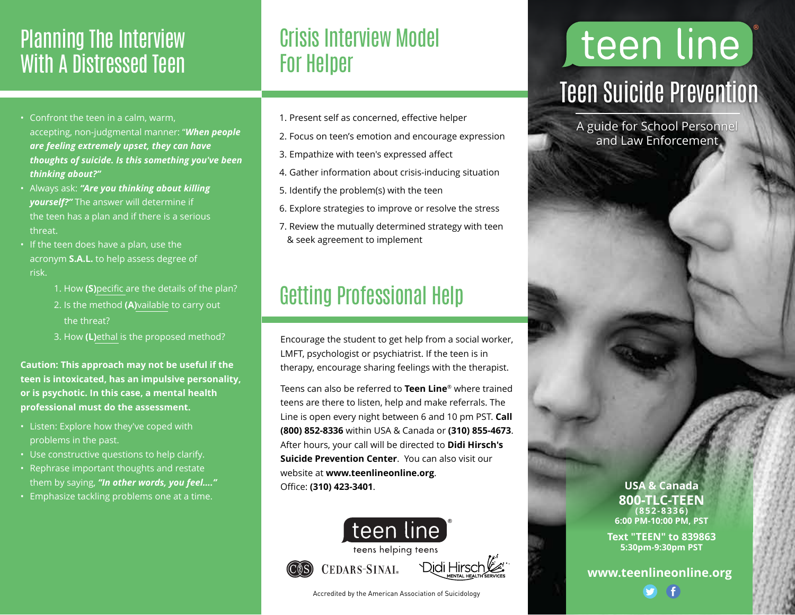## Planning The Interview With A Distressed Teen

- Confront the teen in a calm, warm, accepting, non-judgmental manner: "*When people are feeling extremely upset, they can have thoughts of suicide. Is this something you've been thinking about?"*
- Always ask: *"Are you thinking about killing yourself?"* The answer will determine if the teen has a plan and if there is a serious threat.
- If the teen does have a plan, use the acronym **S.A.L.** to help assess degree of risk.
	- 1. How **(S)**pecific are the details of the plan?
	- 2. Is the method **(A)**vailable to carry out the threat?
	-
	- 3. How **(L)**ethal is the proposed method?

**Caution: This approach may not be useful if the teen is intoxicated, has an impulsive personality, or is psychotic. In this case, a mental health professional must do the assessment.** 

- Listen: Explore how they've coped with problems in the past.
- Use constructive questions to help clarify.
- Rephrase important thoughts and restate them by saying, *"In other words, you feel…."*
- Emphasize tackling problems one at a time.

## Crisis Interview Model For Helper

- 1. Present self as concerned, effective helper
- 2. Focus on teen's emotion and encourage expression
- 3. Empathize with teen's expressed affect
- 4. Gather information about crisis-inducing situation
- 5. Identify the problem(s) with the teen
- 6. Explore strategies to improve or resolve the stress
- 7. Review the mutually determined strategy with teen & seek agreement to implement

## Getting Professional Help

Encourage the student to get help from a social worker, LMFT, psychologist or psychiatrist. If the teen is in therapy, encourage sharing feelings with the therapist.

Teens can also be referred to **Teen Line**® where trained teens are there to listen, help and make referrals. The Line is open every night between 6 and 10 pm PST. **Call (800) 852-8336** within USA & Canada or **(310) 855-4673**. After hours, your call will be directed to **Didi Hirsch's Suicide Prevention Center**. You can also visit our website at **www.teenlineonline.org**. Office: **(310) 423-3401**.



Accredited by the American Association of Suicidology

## teen line Teen Suicide Prevention

A guide for School Personnel and Law Enforcement

#### **USA & Canada 800-TLC-TEEN (852-8336) 6:00 PM-10:00 PM, PST**

**Text "TEEN" to 839863 5:30pm-9:30pm PST**

```
www.teenlineonline.org
```